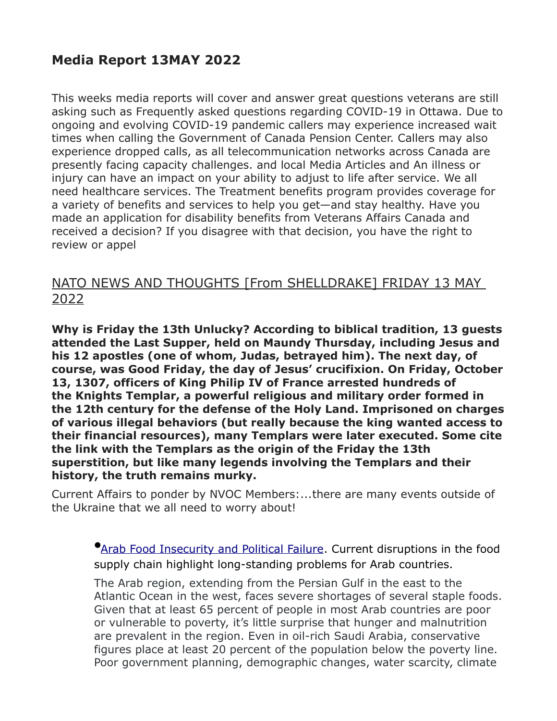## **Media Report 13MAY 2022**

This weeks media reports will cover and answer great questions veterans are still asking such as Frequently asked questions regarding COVID-19 in Ottawa. Due to ongoing and evolving COVID-19 pandemic callers may experience increased wait times when calling the Government of Canada Pension Center. Callers may also experience dropped calls, as all telecommunication networks across Canada are presently facing capacity challenges. and local Media Articles and An illness or injury can have an impact on your ability to adjust to life after service. We all need healthcare services. The Treatment benefits program provides coverage for a variety of benefits and services to help you get—and stay healthy. Have you made an application for disability benefits from Veterans Affairs Canada and received a decision? If you disagree with that decision, you have the right to review or appel

## NATO NEWS AND THOUGHTS [From SHELLDRAKE] FRIDAY 13 MAY 2022

**Why is Friday the 13th Unlucky? According to biblical tradition, 13 guests attended the Last Supper, held on Maundy Thursday, including Jesus and his 12 apostles (one of whom, Judas, betrayed him). The next day, of course, was Good Friday, the day of Jesus' crucifixion. On Friday, October 13, 1307, officers of King Philip IV of France arrested hundreds of the Knights Templar, a powerful religious and military order formed in the 12th century for the defense of the Holy Land. Imprisoned on charges of various illegal behaviors (but really because the king wanted access to their financial resources), many Templars were later executed. Some cite the link with the Templars as the origin of the Friday the 13th superstition, but like many legends involving the Templars and their history, the truth remains murky.**

Current Affairs to ponder by NVOC Members:...there are many events outside of the Ukraine that we all need to worry about!

**•[Arab Food Insecurity and Political Failure.](https://geopoliticalfutures.com/mailster/313464/8f7083d1226c6fc4572ce12595b6890a/aHR0cHM6Ly9nZW9wb2xpdGljYWxmdXR1cmVzLmNvbS9hcmFiLWZvb2QtaW5zZWN1cml0eS1hbmQtcG9saXRpY2FsLWZhaWx1cmUvP3RwYT1PR1E1T1Raak9EQmhPRGM1TWpKaVl6YzBObVF4T1RFMk5USTVOelExTVRWaFlqZzVaVFE/1) Current disruptions in the food** supply chain highlight long-standing problems for Arab countries.

The Arab region, extending from the Persian Gulf in the east to the Atlantic Ocean in the west, faces severe shortages of several staple foods. Given that at least 65 percent of people in most Arab countries are poor or vulnerable to poverty, it's little surprise that hunger and malnutrition are prevalent in the region. Even in oil-rich Saudi Arabia, conservative figures place at least 20 percent of the population below the poverty line. Poor government planning, demographic changes, water scarcity, climate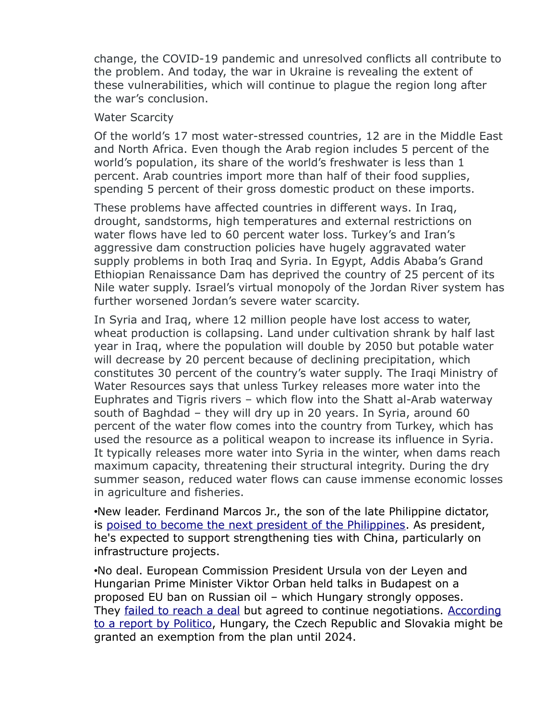change, the COVID-19 pandemic and unresolved conflicts all contribute to the problem. And today, the war in Ukraine is revealing the extent of these vulnerabilities, which will continue to plague the region long after the war's conclusion.

#### Water Scarcity

Of the world's 17 most water-stressed countries, 12 are in the Middle East and North Africa. Even though the Arab region includes 5 percent of the world's population, its share of the world's freshwater is less than 1 percent. Arab countries import more than half of their food supplies, spending 5 percent of their gross domestic product on these imports.

These problems have affected countries in different ways. In Iraq, drought, sandstorms, high temperatures and external restrictions on water flows have led to 60 percent water loss. Turkey's and Iran's aggressive dam construction policies have hugely aggravated water supply problems in both Iraq and Syria. In Egypt, Addis Ababa's Grand Ethiopian Renaissance Dam has deprived the country of 25 percent of its Nile water supply. Israel's virtual monopoly of the Jordan River system has further worsened Jordan's severe water scarcity.

In Syria and Iraq, where 12 million people have lost access to water, wheat production is collapsing. Land under cultivation shrank by half last year in Iraq, where the population will double by 2050 but potable water will decrease by 20 percent because of declining precipitation, which constitutes 30 percent of the country's water supply. The Iraqi Ministry of Water Resources says that unless Turkey releases more water into the Euphrates and Tigris rivers – which flow into the Shatt al-Arab waterway south of Baghdad – they will dry up in 20 years. In Syria, around 60 percent of the water flow comes into the country from Turkey, which has used the resource as a political weapon to increase its influence in Syria. It typically releases more water into Syria in the winter, when dams reach maximum capacity, threatening their structural integrity. During the dry summer season, reduced water flows can cause immense economic losses in agriculture and fisheries.

•New leader. Ferdinand Marcos Jr., the son of the late Philippine dictator, is [poised to become the next president of the Philippines.](https://geopoliticalfutures.com/mailster/313345/8f7083d1226c6fc4572ce12595b6890a/aHR0cHM6Ly93d3cuY2hhbm5lbG5ld3Nhc2lhLmNvbS9hc2lhL3BoaWxpcHBpbmVzLXByZXNpZGVudGlhbC1lbGVjdGlvbi1mZXJkaW5hbmQtbWFyY29zLWpyLWJvbmdib25nLXdpbnMtdW5vZmZpY2lhbC10YWxseS0yNjcyMjQ2) As president, he's expected to support strengthening ties with China, particularly on infrastructure projects.

•No deal. European Commission President Ursula von der Leyen and Hungarian Prime Minister Viktor Orban held talks in Budapest on a proposed EU ban on Russian oil – which Hungary strongly opposes. They [failed to reach a deal](https://geopoliticalfutures.com/mailster/313345/8f7083d1226c6fc4572ce12595b6890a/aHR0cHM6Ly90d2l0dGVyLmNvbS92b25kZXJsZXllbi9zdGF0dXMvMTUyMzcyNTkyNzgzNDA3NTEzNj9zPTIwJmFtcDt0PTVLWjZzaURQeXNoZ2dFS2wwSnhSM1E) but agreed to continue negotiations. [According](https://geopoliticalfutures.com/mailster/313345/8f7083d1226c6fc4572ce12595b6890a/aHR0cHM6Ly93d3cucG9saXRpY28uZXUvYXJ0aWNsZS92b24tZGVyLWxleWVuLXRvLXRyYXZlbC10by1odW5nYXJ5LW92ZXItb2lsLw) [to a report by Politico,](https://geopoliticalfutures.com/mailster/313345/8f7083d1226c6fc4572ce12595b6890a/aHR0cHM6Ly93d3cucG9saXRpY28uZXUvYXJ0aWNsZS92b24tZGVyLWxleWVuLXRvLXRyYXZlbC10by1odW5nYXJ5LW92ZXItb2lsLw) Hungary, the Czech Republic and Slovakia might be granted an exemption from the plan until 2024.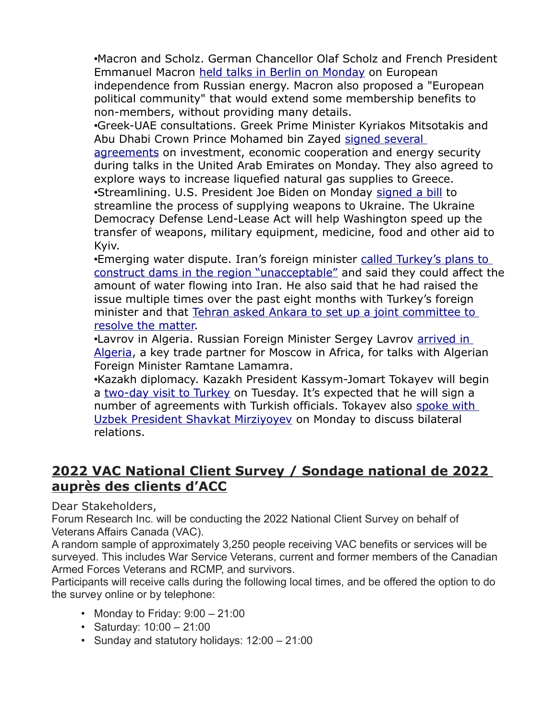•Macron and Scholz. German Chancellor Olaf Scholz and French President Emmanuel Macron [held talks in Berlin on Monday](https://geopoliticalfutures.com/mailster/313345/8f7083d1226c6fc4572ce12595b6890a/aHR0cHM6Ly93d3cubGVzZWNob3MuZnIvbW9uZGUvZXVyb3BlL3BhcmlzLWV0LWJlcmxpbi1yZWFmZmlybWVudC1sZXVyLXVuaXRlLTE0MDU4MjQ) on European independence from Russian energy. Macron also proposed a "European political community" that would extend some membership benefits to non-members, without providing many details.

•Greek-UAE consultations. Greek Prime Minister Kyriakos Mitsotakis and Abu Dhabi Crown Prince Mohamed bin Zayed [signed several](https://geopoliticalfutures.com/mailster/313345/8f7083d1226c6fc4572ce12595b6890a/aHR0cHM6Ly93d3cuZWthdGhpbWVyaW5pLmNvbS9uZXdzLzExODM5NDIvZ3JlZWNlLXNpZ25zLWtleS1hZ3JlZW1lbnRzLXdpdGgtdWFlLw) 

[agreements](https://geopoliticalfutures.com/mailster/313345/8f7083d1226c6fc4572ce12595b6890a/aHR0cHM6Ly93d3cuZWthdGhpbWVyaW5pLmNvbS9uZXdzLzExODM5NDIvZ3JlZWNlLXNpZ25zLWtleS1hZ3JlZW1lbnRzLXdpdGgtdWFlLw) on investment, economic cooperation and energy security during talks in the United Arab Emirates on Monday. They also agreed to explore ways to increase liquefied natural gas supplies to Greece. •Streamlining. U.S. President Joe Biden on Monday [signed a bill](https://geopoliticalfutures.com/mailster/313345/8f7083d1226c6fc4572ce12595b6890a/aHR0cHM6Ly93d3cudWtyaW5mb3JtLm5ldC9ydWJyaWMtYXRvLzM0NzkyNjgtYmlkZW4tc2lnbnMtdWtyYWluZS1sZW5kbGVhc2UtYWN0LWludG8tbGF3Lmh0bWw) to streamline the process of supplying weapons to Ukraine. The Ukraine Democracy Defense Lend-Lease Act will help Washington speed up the transfer of weapons, military equipment, medicine, food and other aid to Kyiv.

•Emerging water dispute. Iran's foreign minister called Turkey's plans to [construct dams in the region "unacceptable"](https://geopoliticalfutures.com/mailster/313345/8f7083d1226c6fc4572ce12595b6890a/aHR0cHM6Ly9pZnBuZXdzLmNvbS9pcmFuLWZtLXR1cmtleXMtZGFtLWNvbnN0cnVjdGlvbi1hY3Rpdml0aWVzLXVuYWNjZXB0YWJsZS8) and said they could affect the amount of water flowing into Iran. He also said that he had raised the issue multiple times over the past eight months with Turkey's foreign minister and that [Tehran asked Ankara to set up a joint committee to](https://geopoliticalfutures.com/mailster/313345/8f7083d1226c6fc4572ce12595b6890a/aHR0cHM6Ly9lbi5tZWhybmV3cy5jb20vbmV3cy8xODY2MTQvRGFtLWNvbnN0cnVjdGlvbnMtYnktVHVya2V5LW5vdC1hY2NlcHRhYmxlLWZvci1JcmFuLUZN)  [resolve the matter.](https://geopoliticalfutures.com/mailster/313345/8f7083d1226c6fc4572ce12595b6890a/aHR0cHM6Ly9lbi5tZWhybmV3cy5jb20vbmV3cy8xODY2MTQvRGFtLWNvbnN0cnVjdGlvbnMtYnktVHVya2V5LW5vdC1hY2NlcHRhYmxlLWZvci1JcmFuLUZN)

•Lavrov in Algeria. Russian Foreign Minister Sergey Lavrov **arrived in** [Algeria,](https://geopoliticalfutures.com/mailster/313345/8f7083d1226c6fc4572ce12595b6890a/aHR0cHM6Ly9yaWEucnUvMjAyMjA1MTAvYWx6aGlyLTE3ODc3MDgxMzAuaHRtbA) a key trade partner for Moscow in Africa, for talks with Algerian Foreign Minister Ramtane Lamamra.

•Kazakh diplomacy. Kazakh President Kassym-Jomart Tokayev will begin a [two-day visit to Turkey](https://geopoliticalfutures.com/mailster/313345/8f7083d1226c6fc4572ce12595b6890a/aHR0cHM6Ly93d3cuYWEuY29tLnRyL2VuL3R1cmtleS9rYXpha2gtcHJlc2lkZW50LXRvLXBheS1vZmZpY2lhbC12aXNpdC10by10dXJraXllLzI1ODMzNjg) on Tuesday. It's expected that he will sign a number of agreements with Turkish officials. Tokayev also [spoke with](https://geopoliticalfutures.com/mailster/313345/8f7083d1226c6fc4572ce12595b6890a/aHR0cHM6Ly93d3cuaW5mb3JtLmt6L3J1L2thc3ltLXpob21hcnQtdG9rYWV2LWktc2hhdmthdC1taXJ6aWVldi1vYnN1ZGlsaS1zb3RydWRuaWNoZXN0dm8tdi10b3Jnb3ZvLWVrb25vbWljaGVza295LXNmZXJlX2EzOTMxMzc3)  [Uzbek President Shavkat Mirziyoyev](https://geopoliticalfutures.com/mailster/313345/8f7083d1226c6fc4572ce12595b6890a/aHR0cHM6Ly93d3cuaW5mb3JtLmt6L3J1L2thc3ltLXpob21hcnQtdG9rYWV2LWktc2hhdmthdC1taXJ6aWVldi1vYnN1ZGlsaS1zb3RydWRuaWNoZXN0dm8tdi10b3Jnb3ZvLWVrb25vbWljaGVza295LXNmZXJlX2EzOTMxMzc3) on Monday to discuss bilateral relations.

## **2022 VAC National Client Survey / Sondage national de 2022 auprès des clients d'ACC**

Dear Stakeholders,

Forum Research Inc. will be conducting the 2022 National Client Survey on behalf of Veterans Affairs Canada (VAC).

A random sample of approximately 3,250 people receiving VAC benefits or services will be surveyed. This includes War Service Veterans, current and former members of the Canadian Armed Forces Veterans and RCMP, and survivors.

Participants will receive calls during the following local times, and be offered the option to do the survey online or by telephone:

- Monday to Friday:  $9:00 21:00$
- Saturday: 10:00 21:00
- Sunday and statutory holidays: 12:00 21:00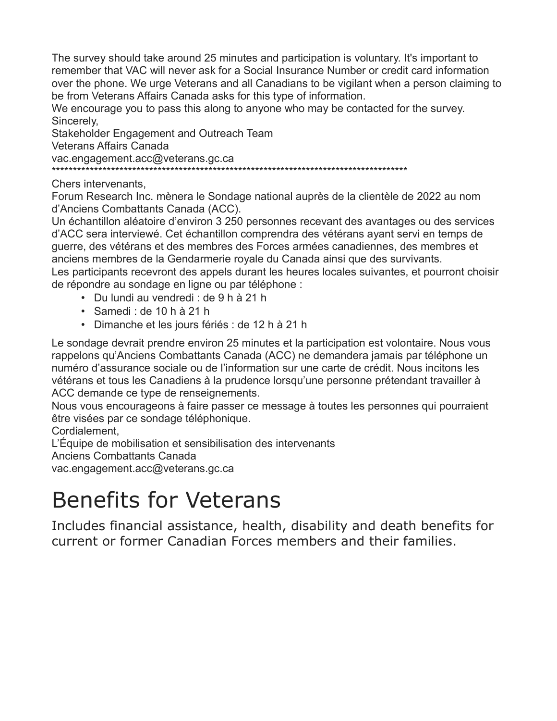The survey should take around 25 minutes and participation is voluntary. It's important to remember that VAC will never ask for a Social Insurance Number or credit card information over the phone. We urge Veterans and all Canadians to be vigilant when a person claiming to be from Veterans Affairs Canada asks for this type of information.

We encourage you to pass this along to anyone who may be contacted for the survey. Sincerely,

Stakeholder Engagement and Outreach Team Veterans Affairs Canada vac.engagement.acc@veterans.gc.ca \*\*\*\*\*\*\*\*\*\*\*\*\*\*\*\*\*\*\*\*\*\*\*\*\*\*\*\*\*\*\*\*\*\*\*\*\*\*\*\*\*\*\*\*\*\*\*\*\*\*\*\*\*\*\*\*\*\*\*\*\*\*\*\*\*\*\*\*\*\*\*\*\*\*\*\*\*\*\*\*\*\*\*\*

Chers intervenants,

Forum Research Inc. mènera le Sondage national auprès de la clientèle de 2022 au nom d'Anciens Combattants Canada (ACC).

Un échantillon aléatoire d'environ 3 250 personnes recevant des avantages ou des services d'ACC sera interviewé. Cet échantillon comprendra des vétérans ayant servi en temps de guerre, des vétérans et des membres des Forces armées canadiennes, des membres et anciens membres de la Gendarmerie royale du Canada ainsi que des survivants. Les participants recevront des appels durant les heures locales suivantes, et pourront choisir de répondre au sondage en ligne ou par téléphone :

- Du lundi au vendredi : de 9 h à 21 h
- Samedi : de 10 h à 21 h
- Dimanche et les jours fériés : de 12 h à 21 h

Le sondage devrait prendre environ 25 minutes et la participation est volontaire. Nous vous rappelons qu'Anciens Combattants Canada (ACC) ne demandera jamais par téléphone un numéro d'assurance sociale ou de l'information sur une carte de crédit. Nous incitons les vétérans et tous les Canadiens à la prudence lorsqu'une personne prétendant travailler à ACC demande ce type de renseignements.

Nous vous encourageons à faire passer ce message à toutes les personnes qui pourraient être visées par ce sondage téléphonique.

Cordialement,

L'Équipe de mobilisation et sensibilisation des intervenants

Anciens Combattants Canada

vac.engagement.acc@veterans.gc.ca

# Benefits for Veterans

Includes financial assistance, health, disability and death benefits for current or former Canadian Forces members and their families.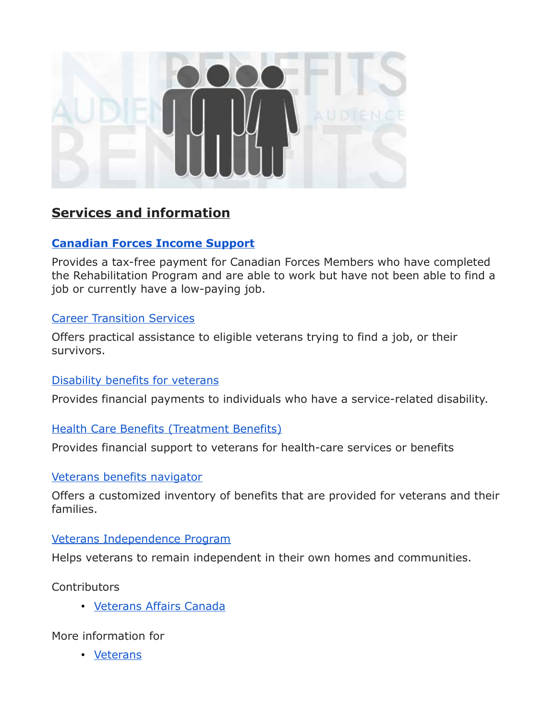

## **Services and information**

#### **[Canadian Forces Income Support](http://www.veterans.gc.ca/eng/services/financial/cf-income-support)**

Provides a tax-free payment for Canadian Forces Members who have completed the Rehabilitation Program and are able to work but have not been able to find a job or currently have a low-paying job.

#### [Career Transition Services](http://www.veterans.gc.ca/eng/services/transition/career)

Offers practical assistance to eligible veterans trying to find a job, or their survivors.

#### [Disability benefits for veterans](http://www.veterans.gc.ca/eng/services/after-injury/disability-benefits)

Provides financial payments to individuals who have a service-related disability.

#### **[Health Care Benefits \(Treatment Benefits\)](http://www.veterans.gc.ca/eng/services/health/treatment-benefits)**

Provides financial support to veterans for health-care services or benefits

#### [Veterans benefits navigator](http://www.veterans.gc.ca/eng/services/resources/benefits)

Offers a customized inventory of benefits that are provided for veterans and their families.

#### [Veterans Independence Program](http://www.veterans.gc.ca/eng/services/health/veterans-independence-program)

Helps veterans to remain independent in their own homes and communities.

**Contributors** 

• [Veterans Affairs Canada](https://www.canada.ca/en/veterans-affairs-canada.html)

More information for

• [Veterans](https://www.canada.ca/en/services/veterans.html)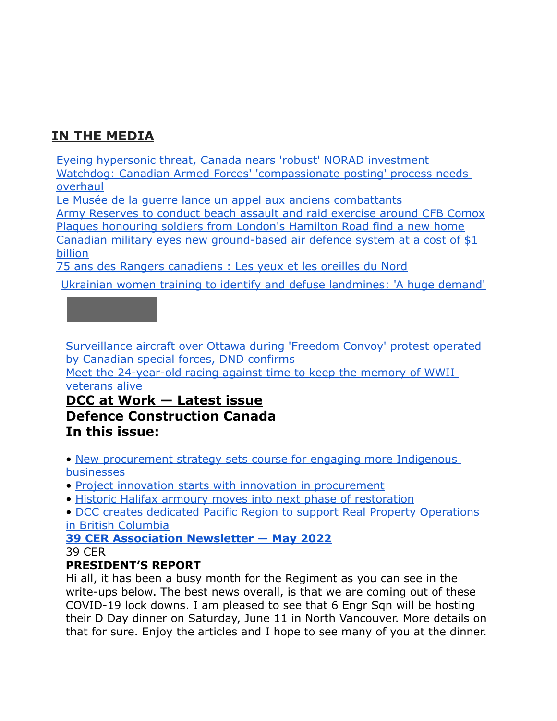# **IN THE MEDIA**

[Eyeing hypersonic threat, Canada nears 'robust' NORAD investment](http://sm1.multiview.com/t/gcH1AAibaBPWNUUqQL31~C-YhEJaaDKjQA4IeaaaaDKjBRHKJK6aa?l=1WlTzSvknamdl~25w8Tmdt.fml~amp;l=lmVjjif0XqWtV~25CsjWtd.vW1~amp;d=m~amp;p=) [Watchdog: Canadian Armed Forces' 'compassionate posting' process needs](http://sm1.multiview.com/t/gcH1AAibaBPWNUUqQL31~C-YhEJaaDKjQA4IeaaaaDKjBRHKJK6aa?l=1WlTzSvknamdl~25w8Tmdt.fml~amp;l=lmVjjif0XqWtV~25CsjWtd.vW1~amp;d=o~amp;p=)  [overhaul](http://sm1.multiview.com/t/gcH1AAibaBPWNUUqQL31~C-YhEJaaDKjQA4IeaaaaDKjBRHKJK6aa?l=1WlTzSvknamdl~25w8Tmdt.fml~amp;l=lmVjjif0XqWtV~25CsjWtd.vW1~amp;d=o~amp;p=)

[Le Musée de la guerre lance un appel aux anciens combattants](http://sm1.multiview.com/t/gcH1AAibaBPWNUUqQL31~C-YhEJaaDKjQA4IeaaaaDKjBRHKJK6aa?l=1WlTzSvknamdl~25w8Tmdt.fml~amp;l=lmVjjif0XqWtV~25CsjWtd.vW1~amp;d=q~amp;p=)

[Army Reserves to conduct beach assault and raid exercise around CFB Comox](http://sm1.multiview.com/t/gcH1AAibaBPWNUUqQL31~C-YhEJaaDKjQA4IeaaaaDKjBRHKJK6aa?l=1WlTzSvknamdl~25w8Tmdt.fml~amp;l=lmVjjif0XqWtV~25CsjWtd.vW1~amp;d=j~amp;p=) [Plaques honouring soldiers from London's Hamilton Road find a new home](http://sm1.multiview.com/t/gcH1AAibaBPWNUUqQL31~C-YhEJaaDKjQA4IeaaaaDKjBRHKJK6aa?l=1WlTzSvknamdl~25w8Tmdt.fml~amp;l=lmVjjif0XqWtV~25CsjWtd.vW1~amp;d=t~amp;p=) [Canadian military eyes new ground-based air defence system at a cost of \\$1](http://sm1.multiview.com/t/gcH1AAibaBPWNUUqQL31~C-YhEJaaDKjQA4IeaaaaDKjBRHKJK6aa?l=1WlTzSvknamdl~25w8Tmdt.fml~amp;l=lmVjjif0XqWtV~25CsjWtd.vW1~amp;d=v~amp;p=)  [billion](http://sm1.multiview.com/t/gcH1AAibaBPWNUUqQL31~C-YhEJaaDKjQA4IeaaaaDKjBRHKJK6aa?l=1WlTzSvknamdl~25w8Tmdt.fml~amp;l=lmVjjif0XqWtV~25CsjWtd.vW1~amp;d=v~amp;p=)

[75 ans des Rangers canadiens : Les yeux et les oreilles du Nord](http://sm1.multiview.com/t/gcH1AAibaBPWNUUqQL31~C-YhEJaaDKjQA4IeaaaaDKjBRHKJK6aa?l=1WlTzSvknamdl~25w8Tmdt.fml~amp;l=lmVjjif0XqWtV~25CsjWtd.vW1~amp;d=x~amp;p=)

[Ukrainian women training to identify and defuse landmines: 'A huge demand'](http://sm1.multiview.com/t/gcH1AAibaBPWNUUqQL31~C-YhEJaaDKjQA4IeaaaaDKjBRHKJK6aa?l=1WlTzSvknamdl~25w8Tmdt.fml~amp;l=lmVjjif0XqWtV~25CsjWtd.vW1~amp;d=z~amp;p=)



[Surveillance aircraft over Ottawa during 'Freedom Convoy' protest operated](http://sm1.multiview.com/t/gcH1AAibaBPWNUUqQL31~C-YhEJaaDKjQA4IeaaaaDKjBRHKJK6aa?l=1WlTzSvknamdl~25w8Tmdt.fml~amp;l=lmVjjif0XqWtV~25CsjWtd.vW1~amp;d=1~amp;p=)  [by Canadian special forces, DND confirms](http://sm1.multiview.com/t/gcH1AAibaBPWNUUqQL31~C-YhEJaaDKjQA4IeaaaaDKjBRHKJK6aa?l=1WlTzSvknamdl~25w8Tmdt.fml~amp;l=lmVjjif0XqWtV~25CsjWtd.vW1~amp;d=1~amp;p=)

[Meet the 24-year-old racing against time to keep the memory of WWII](http://sm1.multiview.com/t/gcH1AAibaBPWNUUqQL31~C-YhEJaaDKjQA4IeaaaaDKjBRHKJK6aa?l=1WlTzSvknamdl~25w8Tmdt.fml~amp;l=lmVjjif0XqWtV~25CsjWtd.vW1~amp;d=3~amp;p=)  [veterans alive](http://sm1.multiview.com/t/gcH1AAibaBPWNUUqQL31~C-YhEJaaDKjQA4IeaaaaDKjBRHKJK6aa?l=1WlTzSvknamdl~25w8Tmdt.fml~amp;l=lmVjjif0XqWtV~25CsjWtd.vW1~amp;d=3~amp;p=)

## **DCC at Work — Latest issue Defence Construction Canada In this issue:**

• [New procurement strategy sets course for engaging more Indigenous](http://sm1.multiview.com/t/gcH1AAibaBPWNUUqQL31~C-YhEJaaDKjQA4IeaaaaDKjBRHKJK6aa?l=1WlTzSvknamdl~25w8Tmdt.fml~amp;l=lmVjjif0XqWtV~25CsjWtd.vW1~amp;d=Jp~amp;5=)  [businesses](http://sm1.multiview.com/t/gcH1AAibaBPWNUUqQL31~C-YhEJaaDKjQA4IeaaaaDKjBRHKJK6aa?l=1WlTzSvknamdl~25w8Tmdt.fml~amp;l=lmVjjif0XqWtV~25CsjWtd.vW1~amp;d=Jp~amp;5=)

- [Project innovation starts with innovation in procurement](http://sm1.multiview.com/t/gcH1AAibaBPWNUUqQL31~C-YhEJaaDKjQA4IeaaaaDKjBRHKJK6aa?l=1WlTzSvknamdl~25w8Tmdt.fml~amp;l=lmVjjif0XqWtV~25CsjWtd.vW1~amp;d=Jq~amp;5=)
- [Historic Halifax armoury moves into next phase of restoration](http://sm1.multiview.com/t/gcH1AAibaBPWNUUqQL31~C-YhEJaaDKjQA4IeaaaaDKjBRHKJK6aa?l=1WlTzSvknamdl~25w8Tmdt.fml~amp;l=lmVjjif0XqWtV~25CsjWtd.vW1~amp;d=Jr~amp;5=)
- [DCC creates dedicated Pacific Region to support Real Property Operations](http://sm1.multiview.com/t/gcH1AAibaBPWNUUqQL31~C-YhEJaaDKjQA4IeaaaaDKjBRHKJK6aa?l=1WlTzSvknamdl~25w8Tmdt.fml~amp;l=lmVjjif0XqWtV~25CsjWtd.vW1~amp;d=J~7E~amp;p=)  [in British Columbia](http://sm1.multiview.com/t/gcH1AAibaBPWNUUqQL31~C-YhEJaaDKjQA4IeaaaaDKjBRHKJK6aa?l=1WlTzSvknamdl~25w8Tmdt.fml~amp;l=lmVjjif0XqWtV~25CsjWtd.vW1~amp;d=J~7E~amp;p=)

#### **[39 CER Association Newsletter — May 2022](http://sm1.multiview.com/t/gcH1AAibaBPWNUUqQL31~C-YhEJaaDKjQA4IeaaaaDKjBRHKJK6aa?l=1WlTzSvknamdl~25w8Tmdt.fml~amp;l=lmVjjif0XqWtV~25CsjWtd.vW1~amp;d=Jn~amp;5=)** 39 CER

#### **PRESIDENT'S REPORT**

Hi all, it has been a busy month for the Regiment as you can see in the write-ups below. The best news overall, is that we are coming out of these COVID-19 lock downs. I am pleased to see that 6 Engr Sqn will be hosting their D Day dinner on Saturday, June 11 in North Vancouver. More details on that for sure. Enjoy the articles and I hope to see many of you at the dinner.